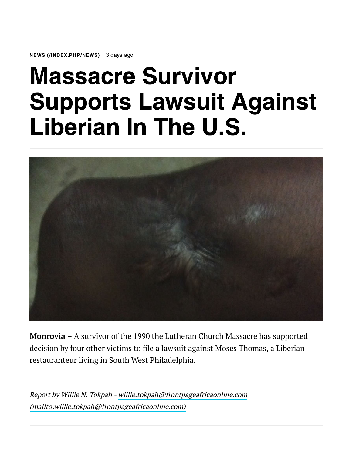NEWS [\(/INDEX.PHP/NEWS\)](https://frontpageafricaonline.com/index.php/news) 3 days ago

## Massacre Survivor Supports Lawsuit Against Liberian In The U.S.



Monrovia – A survivor of the 1990 the Lutheran Church Massacre has supported decision by four other victims to file a lawsuit against Moses Thomas, a Liberian restauranteur living in South West Philadelphia.

Report by Willie N. Tokpah - willie.tokpah@frontpageafricaonline.com [\(mailto:willie.tokpah@frontpageafricaonline.com\)](mailto:willie.tokpah@frontpageafricaonline.com)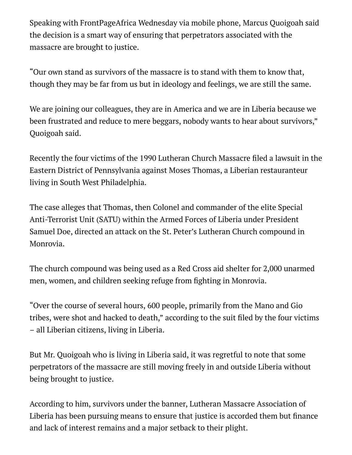Speaking with FrontPageAfrica Wednesday via mobile phone, Marcus Quoigoah said the decision is a smart way of ensuring that perpetrators associated with the massacre are brought to justice.

"Our own stand as survivors of the massacre is to stand with them to know that, though they may be far from us but in ideology and feelings, we are still the same.

We are joining our colleagues, they are in America and we are in Liberia because we been frustrated and reduce to mere beggars, nobody wants to hear about survivors," Quoigoah said.

Recently the four victims of the 1990 Lutheran Church Massacre filed a lawsuit in the Eastern District of Pennsylvania against Moses Thomas, a Liberian restauranteur living in South West Philadelphia.

The case alleges that Thomas, then Colonel and commander of the elite Special Anti-Terrorist Unit (SATU) within the Armed Forces of Liberia under President Samuel Doe, directed an attack on the St. Peter's Lutheran Church compound in Monrovia.

The church compound was being used as a Red Cross aid shelter for 2,000 unarmed men, women, and children seeking refuge from fighting in Monrovia.

"Over the course of several hours, 600 people, primarily from the Mano and Gio tribes, were shot and hacked to death," according to the suit filed by the four victims – all Liberian citizens, living in Liberia.

But Mr. Quoigoah who is living in Liberia said, it was regretful to note that some perpetrators of the massacre are still moving freely in and outside Liberia without being brought to justice.

According to him, survivors under the banner, Lutheran Massacre Association of Liberia has been pursuing means to ensure that justice is accorded them but finance and lack of interest remains and a major setback to their plight.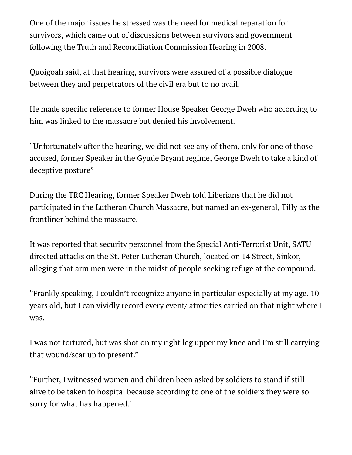One of the major issues he stressed was the need for medical reparation for survivors, which came out of discussions between survivors and government following the Truth and Reconciliation Commission Hearing in 2008.

Quoigoah said, at that hearing, survivors were assured of a possible dialogue between they and perpetrators of the civil era but to no avail.

He made specific reference to former House Speaker George Dweh who according to him was linked to the massacre but denied his involvement.

"Unfortunately after the hearing, we did not see any of them, only for one of those accused, former Speaker in the Gyude Bryant regime, George Dweh to take a kind of deceptive posture"

During the TRC Hearing, former Speaker Dweh told Liberians that he did not participated in the Lutheran Church Massacre, but named an ex-general, Tilly as the frontliner behind the massacre.

It was reported that security personnel from the Special Anti-Terrorist Unit, SATU directed attacks on the St. Peter Lutheran Church, located on 14 Street, Sinkor, alleging that arm men were in the midst of people seeking refuge at the compound.

"Frankly speaking, I couldn't recognize anyone in particular especially at my age. 10 years old, but I can vividly record every event/ atrocities carried on that night where I was.

I was not tortured, but was shot on my right leg upper my knee and I'm still carrying that wound/scar up to present."

"Further, I witnessed women and children been asked by soldiers to stand if still alive to be taken to hospital because according to one of the soldiers they were so sorry for what has happened."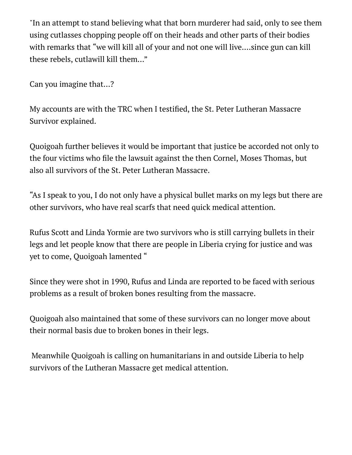"In an attempt to stand believing what that born murderer had said, only to see them using cutlasses chopping people off on their heads and other parts of their bodies with remarks that "we will kill all of your and not one will live....since gun can kill these rebels, cutlawill kill them..."

Can you imagine that...?

My accounts are with the TRC when I testified, the St. Peter Lutheran Massacre Survivor explained.

Quoigoah further believes it would be important that justice be accorded not only to the four victims who file the lawsuit against the then Cornel, Moses Thomas, but also all survivors of the St. Peter Lutheran Massacre.

"As I speak to you, I do not only have a physical bullet marks on my legs but there are other survivors, who have real scarfs that need quick medical attention.

Rufus Scott and Linda Yormie are two survivors who is still carrying bullets in their legs and let people know that there are people in Liberia crying for justice and was yet to come, Quoigoah lamented "

Since they were shot in 1990, Rufus and Linda are reported to be faced with serious problems as a result of broken bones resulting from the massacre.

Quoigoah also maintained that some of these survivors can no longer move about their normal basis due to broken bones in their legs.

Meanwhile Quoigoah is calling on humanitarians in and outside Liberia to help survivors of the Lutheran Massacre get medical attention.